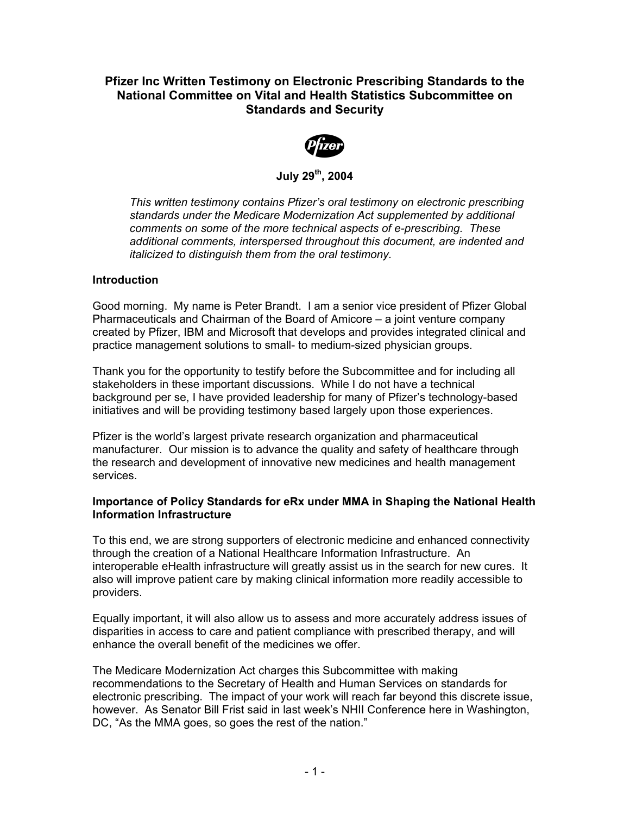# **Pfizer Inc Written Testimony on Electronic Prescribing Standards to the National Committee on Vital and Health Statistics Subcommittee on Standards and Security**



**July 29th, 2004** 

*This written testimony contains Pfizer's oral testimony on electronic prescribing standards under the Medicare Modernization Act supplemented by additional comments on some of the more technical aspects of e-prescribing. These additional comments, interspersed throughout this document, are indented and italicized to distinguish them from the oral testimony.* 

### **Introduction**

Good morning. My name is Peter Brandt. I am a senior vice president of Pfizer Global Pharmaceuticals and Chairman of the Board of Amicore – a joint venture company created by Pfizer, IBM and Microsoft that develops and provides integrated clinical and practice management solutions to small- to medium-sized physician groups.

Thank you for the opportunity to testify before the Subcommittee and for including all stakeholders in these important discussions. While I do not have a technical background per se, I have provided leadership for many of Pfizer's technology-based initiatives and will be providing testimony based largely upon those experiences.

Pfizer is the world's largest private research organization and pharmaceutical manufacturer. Our mission is to advance the quality and safety of healthcare through the research and development of innovative new medicines and health management services.

### **Importance of Policy Standards for eRx under MMA in Shaping the National Health Information Infrastructure**

To this end, we are strong supporters of electronic medicine and enhanced connectivity through the creation of a National Healthcare Information Infrastructure. An interoperable eHealth infrastructure will greatly assist us in the search for new cures. It also will improve patient care by making clinical information more readily accessible to providers.

Equally important, it will also allow us to assess and more accurately address issues of disparities in access to care and patient compliance with prescribed therapy, and will enhance the overall benefit of the medicines we offer.

The Medicare Modernization Act charges this Subcommittee with making recommendations to the Secretary of Health and Human Services on standards for electronic prescribing. The impact of your work will reach far beyond this discrete issue, however. As Senator Bill Frist said in last week's NHII Conference here in Washington, DC, "As the MMA goes, so goes the rest of the nation."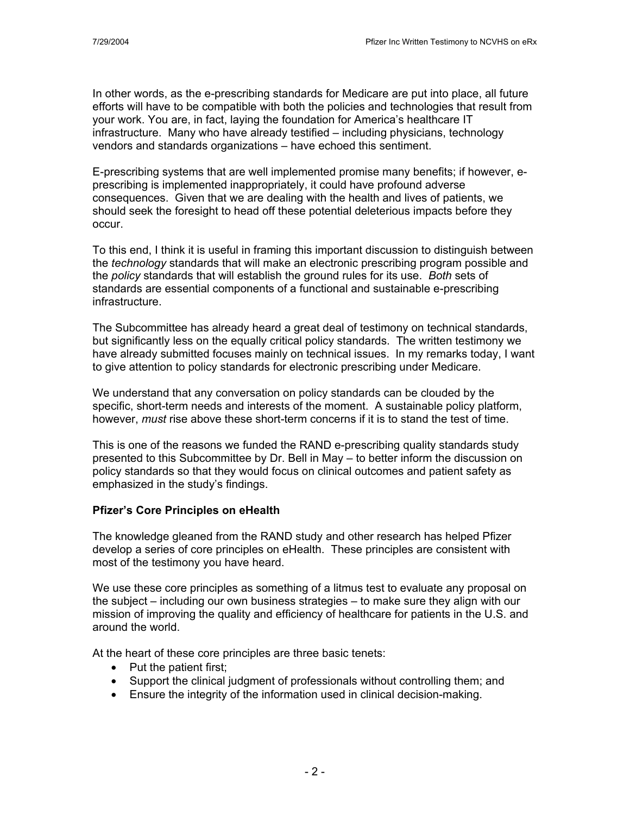In other words, as the e-prescribing standards for Medicare are put into place, all future efforts will have to be compatible with both the policies and technologies that result from your work. You are, in fact, laying the foundation for America's healthcare IT infrastructure. Many who have already testified – including physicians, technology vendors and standards organizations – have echoed this sentiment.

E-prescribing systems that are well implemented promise many benefits; if however, eprescribing is implemented inappropriately, it could have profound adverse consequences. Given that we are dealing with the health and lives of patients, we should seek the foresight to head off these potential deleterious impacts before they occur.

To this end, I think it is useful in framing this important discussion to distinguish between the *technology* standards that will make an electronic prescribing program possible and the *policy* standards that will establish the ground rules for its use. *Both* sets of standards are essential components of a functional and sustainable e-prescribing infrastructure.

The Subcommittee has already heard a great deal of testimony on technical standards, but significantly less on the equally critical policy standards. The written testimony we have already submitted focuses mainly on technical issues. In my remarks today, I want to give attention to policy standards for electronic prescribing under Medicare.

We understand that any conversation on policy standards can be clouded by the specific, short-term needs and interests of the moment. A sustainable policy platform, however, *must* rise above these short-term concerns if it is to stand the test of time.

This is one of the reasons we funded the RAND e-prescribing quality standards study presented to this Subcommittee by Dr. Bell in May – to better inform the discussion on policy standards so that they would focus on clinical outcomes and patient safety as emphasized in the study's findings.

### **Pfizer's Core Principles on eHealth**

The knowledge gleaned from the RAND study and other research has helped Pfizer develop a series of core principles on eHealth. These principles are consistent with most of the testimony you have heard.

We use these core principles as something of a litmus test to evaluate any proposal on the subject – including our own business strategies – to make sure they align with our mission of improving the quality and efficiency of healthcare for patients in the U.S. and around the world.

At the heart of these core principles are three basic tenets:

- Put the patient first;
- Support the clinical judgment of professionals without controlling them; and
- Ensure the integrity of the information used in clinical decision-making.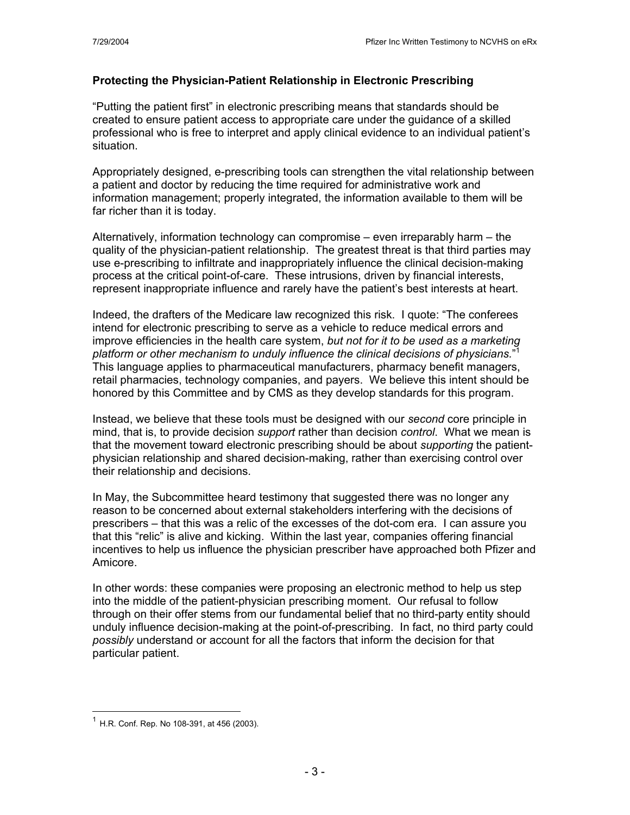# **Protecting the Physician-Patient Relationship in Electronic Prescribing**

"Putting the patient first" in electronic prescribing means that standards should be created to ensure patient access to appropriate care under the guidance of a skilled professional who is free to interpret and apply clinical evidence to an individual patient's situation.

Appropriately designed, e-prescribing tools can strengthen the vital relationship between a patient and doctor by reducing the time required for administrative work and information management; properly integrated, the information available to them will be far richer than it is today.

Alternatively, information technology can compromise – even irreparably harm – the quality of the physician-patient relationship. The greatest threat is that third parties may use e-prescribing to infiltrate and inappropriately influence the clinical decision-making process at the critical point-of-care. These intrusions, driven by financial interests, represent inappropriate influence and rarely have the patient's best interests at heart.

Indeed, the drafters of the Medicare law recognized this risk. I quote: "The conferees intend for electronic prescribing to serve as a vehicle to reduce medical errors and improve efficiencies in the health care system, *but not for it to be used as a marketing platform or other mechanism to unduly influence the clinical decisions of physicians.*" 1 This language applies to pharmaceutical manufacturers, pharmacy benefit managers, retail pharmacies, technology companies, and payers. We believe this intent should be honored by this Committee and by CMS as they develop standards for this program.

Instead, we believe that these tools must be designed with our *second* core principle in mind, that is, to provide decision *support* rather than decision *control*. What we mean is that the movement toward electronic prescribing should be about *supporting* the patientphysician relationship and shared decision-making, rather than exercising control over their relationship and decisions.

In May, the Subcommittee heard testimony that suggested there was no longer any reason to be concerned about external stakeholders interfering with the decisions of prescribers – that this was a relic of the excesses of the dot-com era. I can assure you that this "relic" is alive and kicking. Within the last year, companies offering financial incentives to help us influence the physician prescriber have approached both Pfizer and Amicore.

In other words: these companies were proposing an electronic method to help us step into the middle of the patient-physician prescribing moment. Our refusal to follow through on their offer stems from our fundamental belief that no third-party entity should unduly influence decision-making at the point-of-prescribing. In fact, no third party could *possibly* understand or account for all the factors that inform the decision for that particular patient.

 $\overline{a}$ 

 $<sup>1</sup>$  H.R. Conf. Rep. No 108-391, at 456 (2003).</sup>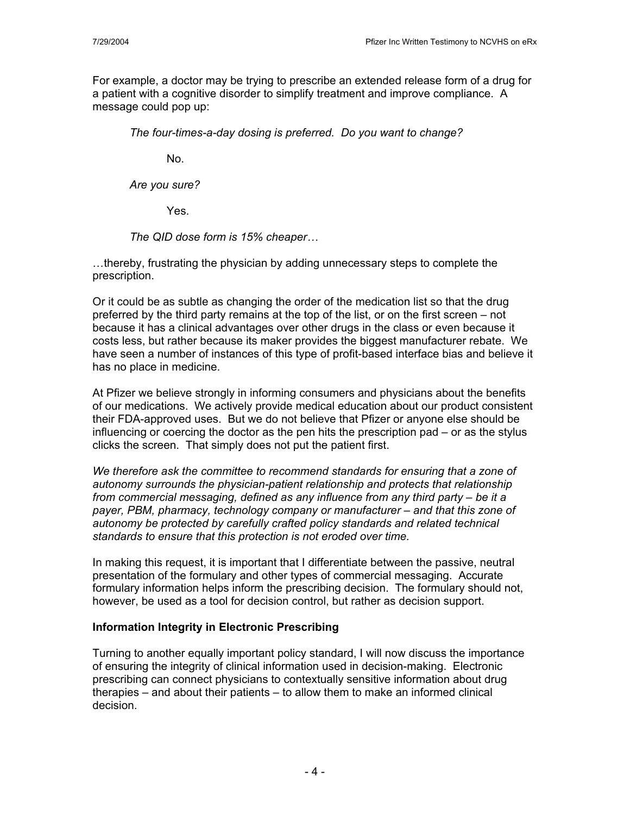For example, a doctor may be trying to prescribe an extended release form of a drug for a patient with a cognitive disorder to simplify treatment and improve compliance. A message could pop up:

*The four-times-a-day dosing is preferred. Do you want to change?*

No.

*Are you sure?*

Yes.

*The QID dose form is 15% cheaper…*

…thereby, frustrating the physician by adding unnecessary steps to complete the prescription.

Or it could be as subtle as changing the order of the medication list so that the drug preferred by the third party remains at the top of the list, or on the first screen – not because it has a clinical advantages over other drugs in the class or even because it costs less, but rather because its maker provides the biggest manufacturer rebate. We have seen a number of instances of this type of profit-based interface bias and believe it has no place in medicine.

At Pfizer we believe strongly in informing consumers and physicians about the benefits of our medications. We actively provide medical education about our product consistent their FDA-approved uses. But we do not believe that Pfizer or anyone else should be influencing or coercing the doctor as the pen hits the prescription pad – or as the stylus clicks the screen. That simply does not put the patient first.

*We therefore ask the committee to recommend standards for ensuring that a zone of autonomy surrounds the physician-patient relationship and protects that relationship from commercial messaging, defined as any influence from any third party – be it a payer, PBM, pharmacy, technology company or manufacturer – and that this zone of autonomy be protected by carefully crafted policy standards and related technical standards to ensure that this protection is not eroded over time.* 

In making this request, it is important that I differentiate between the passive, neutral presentation of the formulary and other types of commercial messaging. Accurate formulary information helps inform the prescribing decision. The formulary should not, however, be used as a tool for decision control, but rather as decision support.

### **Information Integrity in Electronic Prescribing**

Turning to another equally important policy standard, I will now discuss the importance of ensuring the integrity of clinical information used in decision-making. Electronic prescribing can connect physicians to contextually sensitive information about drug therapies – and about their patients – to allow them to make an informed clinical decision.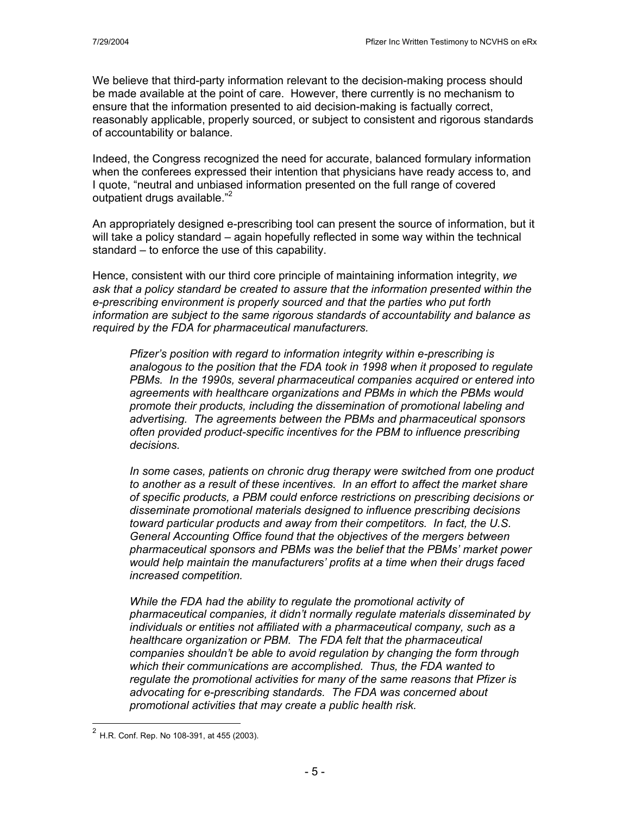We believe that third-party information relevant to the decision-making process should be made available at the point of care. However, there currently is no mechanism to ensure that the information presented to aid decision-making is factually correct, reasonably applicable, properly sourced, or subject to consistent and rigorous standards of accountability or balance.

Indeed, the Congress recognized the need for accurate, balanced formulary information when the conferees expressed their intention that physicians have ready access to, and I quote, "neutral and unbiased information presented on the full range of covered outpatient drugs available."<sup>2</sup>

An appropriately designed e-prescribing tool can present the source of information, but it will take a policy standard – again hopefully reflected in some way within the technical standard – to enforce the use of this capability.

Hence, consistent with our third core principle of maintaining information integrity, *we ask that a policy standard be created to assure that the information presented within the e-prescribing environment is properly sourced and that the parties who put forth information are subject to the same rigorous standards of accountability and balance as required by the FDA for pharmaceutical manufacturers.* 

*Pfizer's position with regard to information integrity within e-prescribing is analogous to the position that the FDA took in 1998 when it proposed to regulate PBMs. In the 1990s, several pharmaceutical companies acquired or entered into agreements with healthcare organizations and PBMs in which the PBMs would promote their products, including the dissemination of promotional labeling and advertising. The agreements between the PBMs and pharmaceutical sponsors often provided product-specific incentives for the PBM to influence prescribing decisions.* 

*In some cases, patients on chronic drug therapy were switched from one product to another as a result of these incentives. In an effort to affect the market share of specific products, a PBM could enforce restrictions on prescribing decisions or disseminate promotional materials designed to influence prescribing decisions toward particular products and away from their competitors. In fact, the U.S. General Accounting Office found that the objectives of the mergers between pharmaceutical sponsors and PBMs was the belief that the PBMs' market power would help maintain the manufacturers' profits at a time when their drugs faced increased competition.* 

*While the FDA had the ability to regulate the promotional activity of pharmaceutical companies, it didn't normally regulate materials disseminated by individuals or entities not affiliated with a pharmaceutical company, such as a healthcare organization or PBM. The FDA felt that the pharmaceutical companies shouldn't be able to avoid regulation by changing the form through which their communications are accomplished. Thus, the FDA wanted to regulate the promotional activities for many of the same reasons that Pfizer is advocating for e-prescribing standards. The FDA was concerned about promotional activities that may create a public health risk.* 

 $\overline{a}$ 

 $^{2}$  H.R. Conf. Rep. No 108-391, at 455 (2003).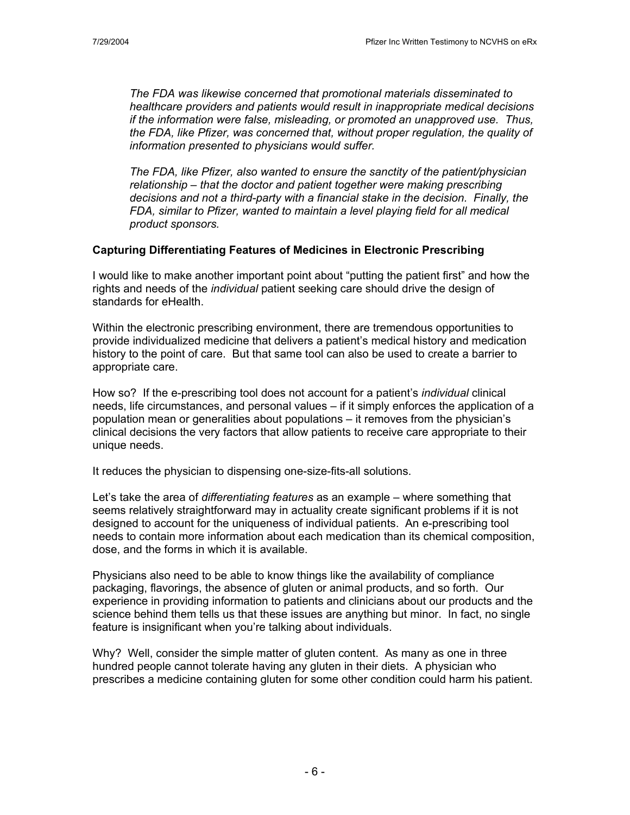*The FDA was likewise concerned that promotional materials disseminated to healthcare providers and patients would result in inappropriate medical decisions if the information were false, misleading, or promoted an unapproved use. Thus, the FDA, like Pfizer, was concerned that, without proper regulation, the quality of information presented to physicians would suffer.* 

*The FDA, like Pfizer, also wanted to ensure the sanctity of the patient/physician relationship – that the doctor and patient together were making prescribing decisions and not a third-party with a financial stake in the decision. Finally, the FDA, similar to Pfizer, wanted to maintain a level playing field for all medical product sponsors.* 

### **Capturing Differentiating Features of Medicines in Electronic Prescribing**

I would like to make another important point about "putting the patient first" and how the rights and needs of the *individual* patient seeking care should drive the design of standards for eHealth.

Within the electronic prescribing environment, there are tremendous opportunities to provide individualized medicine that delivers a patient's medical history and medication history to the point of care. But that same tool can also be used to create a barrier to appropriate care.

How so? If the e-prescribing tool does not account for a patient's *individual* clinical needs, life circumstances, and personal values – if it simply enforces the application of a population mean or generalities about populations – it removes from the physician's clinical decisions the very factors that allow patients to receive care appropriate to their unique needs.

It reduces the physician to dispensing one-size-fits-all solutions.

Let's take the area of *differentiating features* as an example – where something that seems relatively straightforward may in actuality create significant problems if it is not designed to account for the uniqueness of individual patients. An e-prescribing tool needs to contain more information about each medication than its chemical composition, dose, and the forms in which it is available.

Physicians also need to be able to know things like the availability of compliance packaging, flavorings, the absence of gluten or animal products, and so forth. Our experience in providing information to patients and clinicians about our products and the science behind them tells us that these issues are anything but minor. In fact, no single feature is insignificant when you're talking about individuals.

Why? Well, consider the simple matter of gluten content. As many as one in three hundred people cannot tolerate having any gluten in their diets. A physician who prescribes a medicine containing gluten for some other condition could harm his patient.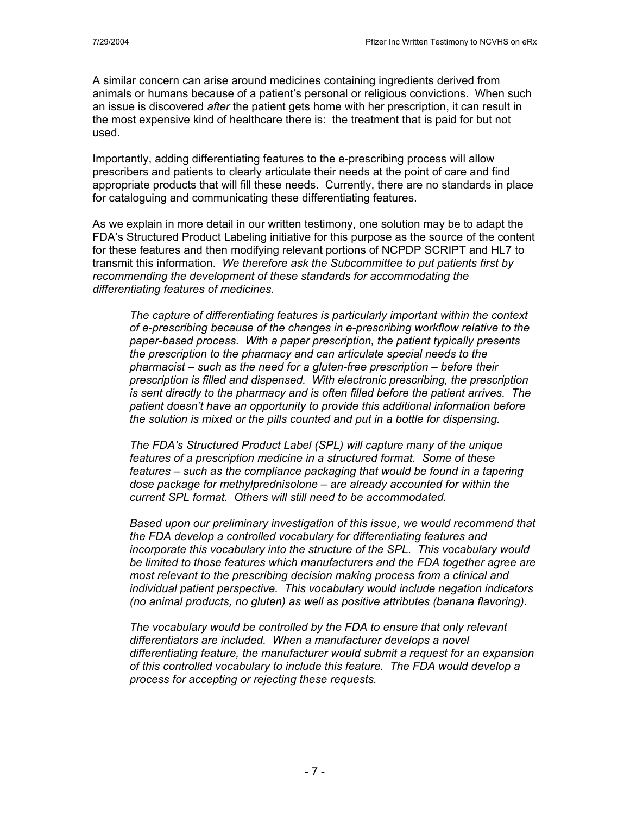A similar concern can arise around medicines containing ingredients derived from animals or humans because of a patient's personal or religious convictions. When such an issue is discovered *after* the patient gets home with her prescription, it can result in the most expensive kind of healthcare there is: the treatment that is paid for but not used.

Importantly, adding differentiating features to the e-prescribing process will allow prescribers and patients to clearly articulate their needs at the point of care and find appropriate products that will fill these needs.Currently, there are no standards in place for cataloguing and communicating these differentiating features.

As we explain in more detail in our written testimony, one solution may be to adapt the FDA's Structured Product Labeling initiative for this purpose as the source of the content for these features and then modifying relevant portions of NCPDP SCRIPT and HL7 to transmit this information. *We therefore ask the Subcommittee to put patients first by recommending the development of these standards for accommodating the differentiating features of medicines.* 

*The capture of differentiating features is particularly important within the context of e-prescribing because of the changes in e-prescribing workflow relative to the paper-based process. With a paper prescription, the patient typically presents the prescription to the pharmacy and can articulate special needs to the pharmacist – such as the need for a gluten-free prescription – before their prescription is filled and dispensed. With electronic prescribing, the prescription is sent directly to the pharmacy and is often filled before the patient arrives. The patient doesn't have an opportunity to provide this additional information before the solution is mixed or the pills counted and put in a bottle for dispensing.* 

*The FDA's Structured Product Label (SPL) will capture many of the unique features of a prescription medicine in a structured format. Some of these features – such as the compliance packaging that would be found in a tapering dose package for methylprednisolone – are already accounted for within the current SPL format. Others will still need to be accommodated.* 

*Based upon our preliminary investigation of this issue, we would recommend that the FDA develop a controlled vocabulary for differentiating features and incorporate this vocabulary into the structure of the SPL. This vocabulary would be limited to those features which manufacturers and the FDA together agree are most relevant to the prescribing decision making process from a clinical and individual patient perspective. This vocabulary would include negation indicators (no animal products, no gluten) as well as positive attributes (banana flavoring).* 

*The vocabulary would be controlled by the FDA to ensure that only relevant differentiators are included. When a manufacturer develops a novel differentiating feature, the manufacturer would submit a request for an expansion of this controlled vocabulary to include this feature. The FDA would develop a process for accepting or rejecting these requests.*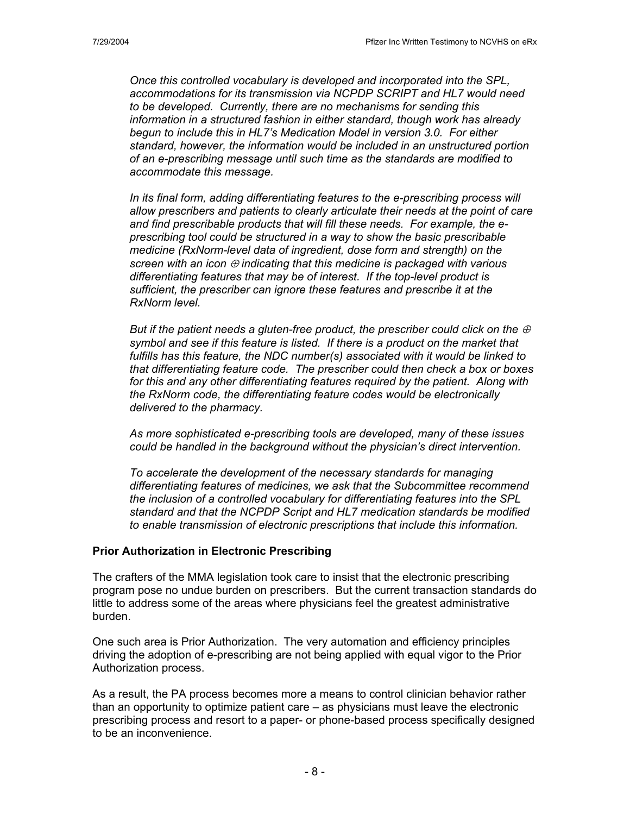*Once this controlled vocabulary is developed and incorporated into the SPL, accommodations for its transmission via NCPDP SCRIPT and HL7 would need to be developed. Currently, there are no mechanisms for sending this information in a structured fashion in either standard, though work has already begun to include this in HL7's Medication Model in version 3.0. For either standard, however, the information would be included in an unstructured portion of an e-prescribing message until such time as the standards are modified to accommodate this message.* 

*In its final form, adding differentiating features to the e-prescribing process will allow prescribers and patients to clearly articulate their needs at the point of care and find prescribable products that will fill these needs. For example, the eprescribing tool could be structured in a way to show the basic prescribable medicine (RxNorm-level data of ingredient, dose form and strength) on the screen with an icon* ⊕ *indicating that this medicine is packaged with various differentiating features that may be of interest. If the top-level product is sufficient, the prescriber can ignore these features and prescribe it at the RxNorm level.* 

*But if the patient needs a gluten-free product, the prescriber could click on the*  $\oplus$ *symbol and see if this feature is listed. If there is a product on the market that fulfills has this feature, the NDC number(s) associated with it would be linked to that differentiating feature code. The prescriber could then check a box or boxes*  for this and any other differentiating features required by the patient. Along with *the RxNorm code, the differentiating feature codes would be electronically delivered to the pharmacy.* 

*As more sophisticated e-prescribing tools are developed, many of these issues could be handled in the background without the physician's direct intervention.* 

*To accelerate the development of the necessary standards for managing differentiating features of medicines, we ask that the Subcommittee recommend the inclusion of a controlled vocabulary for differentiating features into the SPL standard and that the NCPDP Script and HL7 medication standards be modified to enable transmission of electronic prescriptions that include this information.* 

#### **Prior Authorization in Electronic Prescribing**

The crafters of the MMA legislation took care to insist that the electronic prescribing program pose no undue burden on prescribers. But the current transaction standards do little to address some of the areas where physicians feel the greatest administrative burden.

One such area is Prior Authorization. The very automation and efficiency principles driving the adoption of e-prescribing are not being applied with equal vigor to the Prior Authorization process.

As a result, the PA process becomes more a means to control clinician behavior rather than an opportunity to optimize patient care – as physicians must leave the electronic prescribing process and resort to a paper- or phone-based process specifically designed to be an inconvenience.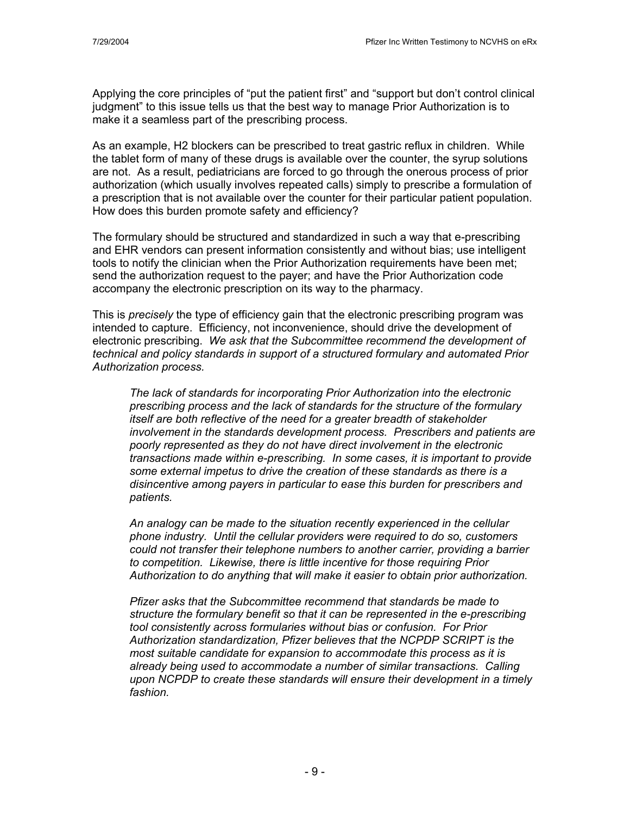Applying the core principles of "put the patient first" and "support but don't control clinical judgment" to this issue tells us that the best way to manage Prior Authorization is to make it a seamless part of the prescribing process.

As an example, H2 blockers can be prescribed to treat gastric reflux in children. While the tablet form of many of these drugs is available over the counter, the syrup solutions are not. As a result, pediatricians are forced to go through the onerous process of prior authorization (which usually involves repeated calls) simply to prescribe a formulation of a prescription that is not available over the counter for their particular patient population. How does this burden promote safety and efficiency?

The formulary should be structured and standardized in such a way that e-prescribing and EHR vendors can present information consistently and without bias; use intelligent tools to notify the clinician when the Prior Authorization requirements have been met; send the authorization request to the payer; and have the Prior Authorization code accompany the electronic prescription on its way to the pharmacy.

This is *precisely* the type of efficiency gain that the electronic prescribing program was intended to capture. Efficiency, not inconvenience, should drive the development of electronic prescribing. *We ask that the Subcommittee recommend the development of technical and policy standards in support of a structured formulary and automated Prior Authorization process.*

*The lack of standards for incorporating Prior Authorization into the electronic prescribing process and the lack of standards for the structure of the formulary itself are both reflective of the need for a greater breadth of stakeholder involvement in the standards development process. Prescribers and patients are poorly represented as they do not have direct involvement in the electronic transactions made within e-prescribing. In some cases, it is important to provide some external impetus to drive the creation of these standards as there is a disincentive among payers in particular to ease this burden for prescribers and patients.* 

*An analogy can be made to the situation recently experienced in the cellular phone industry. Until the cellular providers were required to do so, customers could not transfer their telephone numbers to another carrier, providing a barrier to competition. Likewise, there is little incentive for those requiring Prior Authorization to do anything that will make it easier to obtain prior authorization.* 

*Pfizer asks that the Subcommittee recommend that standards be made to structure the formulary benefit so that it can be represented in the e-prescribing tool consistently across formularies without bias or confusion. For Prior Authorization standardization, Pfizer believes that the NCPDP SCRIPT is the most suitable candidate for expansion to accommodate this process as it is already being used to accommodate a number of similar transactions. Calling upon NCPDP to create these standards will ensure their development in a timely fashion.*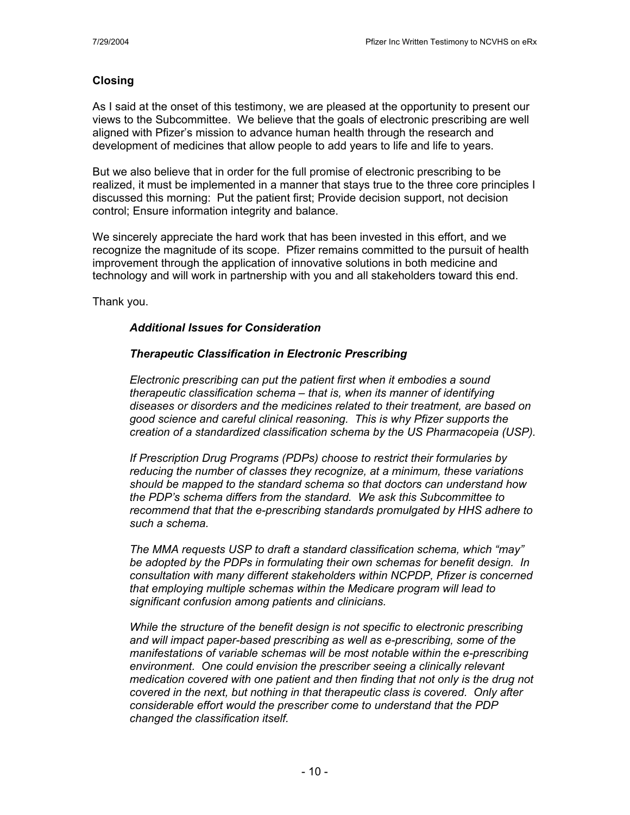### **Closing**

As I said at the onset of this testimony, we are pleased at the opportunity to present our views to the Subcommittee. We believe that the goals of electronic prescribing are well aligned with Pfizer's mission to advance human health through the research and development of medicines that allow people to add years to life and life to years.

But we also believe that in order for the full promise of electronic prescribing to be realized, it must be implemented in a manner that stays true to the three core principles I discussed this morning: Put the patient first; Provide decision support, not decision control; Ensure information integrity and balance.

We sincerely appreciate the hard work that has been invested in this effort, and we recognize the magnitude of its scope. Pfizer remains committed to the pursuit of health improvement through the application of innovative solutions in both medicine and technology and will work in partnership with you and all stakeholders toward this end.

Thank you.

# *Additional Issues for Consideration*

# *Therapeutic Classification in Electronic Prescribing*

*Electronic prescribing can put the patient first when it embodies a sound therapeutic classification schema – that is, when its manner of identifying diseases or disorders and the medicines related to their treatment, are based on good science and careful clinical reasoning. This is why Pfizer supports the creation of a standardized classification schema by the US Pharmacopeia (USP).* 

*If Prescription Drug Programs (PDPs) choose to restrict their formularies by reducing the number of classes they recognize, at a minimum, these variations should be mapped to the standard schema so that doctors can understand how the PDP's schema differs from the standard. We ask this Subcommittee to recommend that that the e-prescribing standards promulgated by HHS adhere to such a schema.* 

*The MMA requests USP to draft a standard classification schema, which "may" be adopted by the PDPs in formulating their own schemas for benefit design. In consultation with many different stakeholders within NCPDP, Pfizer is concerned that employing multiple schemas within the Medicare program will lead to significant confusion among patients and clinicians.* 

*While the structure of the benefit design is not specific to electronic prescribing and will impact paper-based prescribing as well as e-prescribing, some of the manifestations of variable schemas will be most notable within the e-prescribing environment. One could envision the prescriber seeing a clinically relevant medication covered with one patient and then finding that not only is the drug not covered in the next, but nothing in that therapeutic class is covered. Only after considerable effort would the prescriber come to understand that the PDP changed the classification itself.*